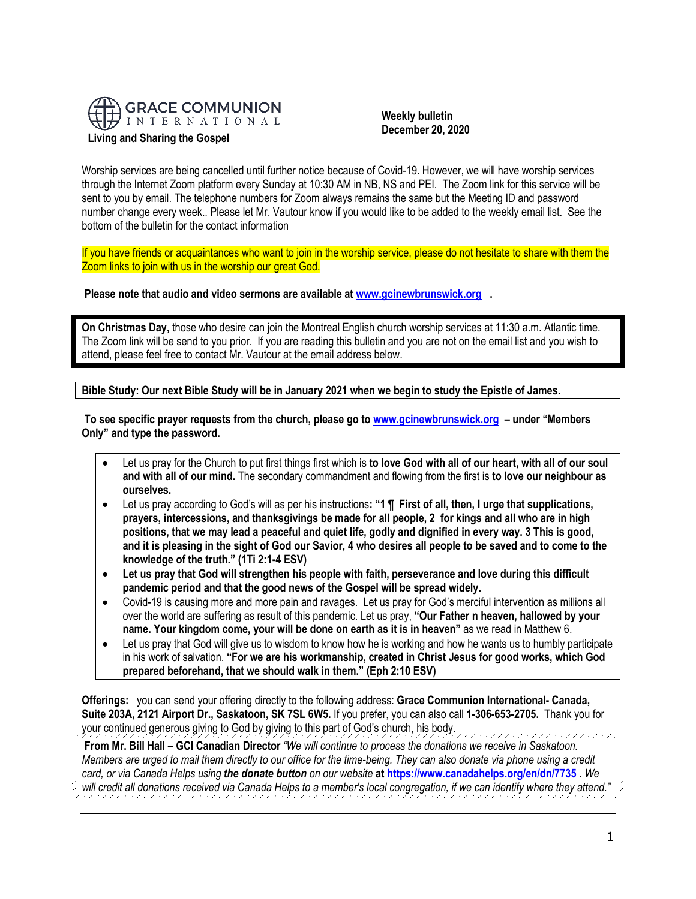

## **Weekly bulletin December 20, 2020**

Worship services are being cancelled until further notice because of Covid-19. However, we will have worship services through the Internet Zoom platform every Sunday at 10:30 AM in NB, NS and PEI. The Zoom link for this service will be sent to you by email. The telephone numbers for Zoom always remains the same but the Meeting ID and password number change every week.. Please let Mr. Vautour know if you would like to be added to the weekly email list. See the bottom of the bulletin for the contact information

If you have friends or acquaintances who want to join in the worship service, please do not hesitate to share with them the Zoom links to join with us in the worship our great God.

**Please note that audio and video sermons are available at [www.gcinewbrunswick.org](http://www.gcinewbrunswick.org/) .** 

**On Christmas Day,** those who desire can join the Montreal English church worship services at 11:30 a.m. Atlantic time. The Zoom link will be send to you prior. If you are reading this bulletin and you are not on the email list and you wish to attend, please feel free to contact Mr. Vautour at the email address below.

**Bible Study: Our next Bible Study will be in January 2021 when we begin to study the Epistle of James.**

**To see specific prayer requests from the church, please go t[o www.gcinewbrunswick.org](http://www.gcinewbrunswick.org/) – under "Members Only" and type the password.**

- Let us pray for the Church to put first things first which is **to love God with all of our heart, with all of our soul and with all of our mind.** The secondary commandment and flowing from the first is **to love our neighbour as ourselves.**
- Let us pray according to God's will as per his instructions**: "1 ¶ First of all, then, I urge that supplications, prayers, intercessions, and thanksgivings be made for all people, 2 for kings and all who are in high positions, that we may lead a peaceful and quiet life, godly and dignified in every way. 3 This is good, and it is pleasing in the sight of God our Savior, 4 who desires all people to be saved and to come to the knowledge of the truth." (1Ti 2:1-4 ESV)**
- **Let us pray that God will strengthen his people with faith, perseverance and love during this difficult pandemic period and that the good news of the Gospel will be spread widely.**
- Covid-19 is causing more and more pain and ravages. Let us pray for God's merciful intervention as millions all over the world are suffering as result of this pandemic. Let us pray, **"Our Father n heaven, hallowed by your name. Your kingdom come, your will be done on earth as it is in heaven"** as we read in Matthew 6.
- Let us pray that God will give us to wisdom to know how he is working and how he wants us to humbly participate in his work of salvation. **"For we are his workmanship, created in Christ Jesus for good works, which God prepared beforehand, that we should walk in them." (Eph 2:10 ESV)**

**Offerings:** you can send your offering directly to the following address: **Grace Communion International- Canada, Suite 203A, 2121 Airport Dr., Saskatoon, SK 7SL 6W5.** If you prefer, you can also call **1-306-653-2705.** Thank you for your continued generous giving to God by giving to this part of God's church, his body. 

- **From Mr. Bill Hall – GCI Canadian Director** *"We will continue to process the donations we receive in Saskatoon. Members are urged to mail them directly to our office for the time-being. They can also donate via phone using a credit card, or via Canada Helps using the donate button on our website* **a[t https://www.canadahelps.org/en/dn/7735](https://www.canadahelps.org/en/dn/7735) .** *We*
- *will credit all donations received via Canada Helps to a member's local congregation, if we can identify where they attend."*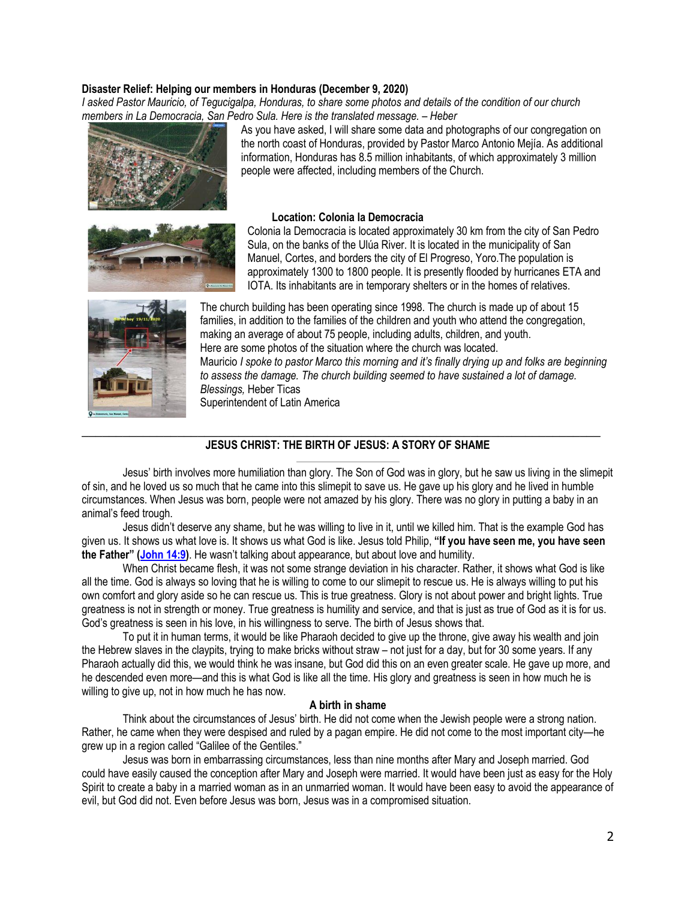## **Disaster Relief: Helping our members in Honduras (December 9, 2020)**

*I asked Pastor Mauricio, of Tegucigalpa, Honduras, to share some photos and details of the condition of our church members in La Democracia, San Pedro Sula. Here is the translated message. – Heber*



As you have asked, I will share some data and photographs of our congregation on the north coast of Honduras, provided by Pastor Marco Antonio Mejía. As additional information, Honduras has 8.5 million inhabitants, of which approximately 3 million people were affected, including members of the Church.



#### **Location: Colonia la Democracia**

Colonia la Democracia is located approximately 30 km from the city of San Pedro Sula, on the banks of the Ulúa River. It is located in the municipality of San Manuel, Cortes, and borders the city of El Progreso, Yoro.The population is approximately 1300 to 1800 people. It is presently flooded by hurricanes ETA and IOTA. Its inhabitants are in temporary shelters or in the homes of relatives.



The church building has been operating since 1998. The church is made up of about 15 families, in addition to the families of the children and youth who attend the congregation, making an average of about 75 people, including adults, children, and youth. Here are some photos of the situation where the church was located. Mauricio *I spoke to pastor Marco this morning and it's finally drying up and folks are beginning to assess the damage. The church building seemed to have sustained a lot of damage. Blessings,* Heber Ticas Superintendent of Latin America

# \_\_\_\_\_\_\_\_\_\_\_\_\_\_\_\_\_\_\_\_\_\_\_\_\_\_\_\_\_\_\_\_\_\_\_\_\_\_\_\_\_\_\_\_\_\_\_\_\_\_\_\_\_\_\_\_\_\_\_\_\_\_\_\_\_\_\_\_\_\_\_\_\_\_\_\_ **JESUS CHRIST: THE BIRTH OF JESUS: A STORY OF SHAME**

Jesus' birth involves more humiliation than glory. The Son of God was in glory, but he saw us living in the slimepit of sin, and he loved us so much that he came into this slimepit to save us. He gave up his glory and he lived in humble circumstances. When Jesus was born, people were not amazed by his glory. There was no glory in putting a baby in an animal's feed trough.

Jesus didn't deserve any shame, but he was willing to live in it, until we killed him. That is the example God has given us. It shows us what love is. It shows us what God is like. Jesus told Philip, **"If you have seen me, you have seen the Father" ([John 14:9\)](https://biblia.com/bible/niv/John%2014.9)**. He wasn't talking about appearance, but about love and humility.

When Christ became flesh, it was not some strange deviation in his character. Rather, it shows what God is like all the time. God is always so loving that he is willing to come to our slimepit to rescue us. He is always willing to put his own comfort and glory aside so he can rescue us. This is true greatness. Glory is not about power and bright lights. True greatness is not in strength or money. True greatness is humility and service, and that is just as true of God as it is for us. God's greatness is seen in his love, in his willingness to serve. The birth of Jesus shows that.

To put it in human terms, it would be like Pharaoh decided to give up the throne, give away his wealth and join the Hebrew slaves in the claypits, trying to make bricks without straw – not just for a day, but for 30 some years. If any Pharaoh actually did this, we would think he was insane, but God did this on an even greater scale. He gave up more, and he descended even more—and this is what God is like all the time. His glory and greatness is seen in how much he is willing to give up, not in how much he has now.

#### **A birth in shame**

Think about the circumstances of Jesus' birth. He did not come when the Jewish people were a strong nation. Rather, he came when they were despised and ruled by a pagan empire. He did not come to the most important city—he grew up in a region called "Galilee of the Gentiles."

Jesus was born in embarrassing circumstances, less than nine months after Mary and Joseph married. God could have easily caused the conception after Mary and Joseph were married. It would have been just as easy for the Holy Spirit to create a baby in a married woman as in an unmarried woman. It would have been easy to avoid the appearance of evil, but God did not. Even before Jesus was born, Jesus was in a compromised situation.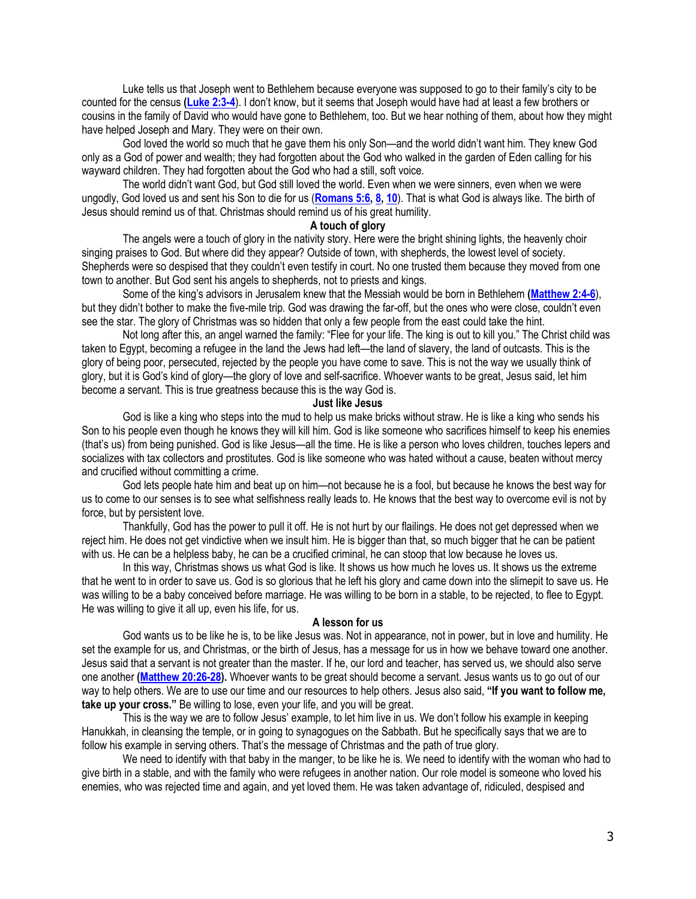Luke tells us that Joseph went to Bethlehem because everyone was supposed to go to their family's city to be counted for the census **[\(Luke 2:3-4](https://biblia.com/bible/niv/Luke%202.3-4)**). I don't know, but it seems that Joseph would have had at least a few brothers or cousins in the family of David who would have gone to Bethlehem, too. But we hear nothing of them, about how they might have helped Joseph and Mary. They were on their own.

God loved the world so much that he gave them his only Son—and the world didn't want him. They knew God only as a God of power and wealth; they had forgotten about the God who walked in the garden of Eden calling for his wayward children. They had forgotten about the God who had a still, soft voice.

The world didn't want God, but God still loved the world. Even when we were sinners, even when we were ungodly, God loved us and sent his Son to die for us (**[Romans 5:6,](https://biblia.com/bible/niv/Rom%205.6) [8,](https://biblia.com/bible/niv/Romans%205.8) [10](https://biblia.com/bible/niv/Romans%205.10)**). That is what God is always like. The birth of Jesus should remind us of that. Christmas should remind us of his great humility.

## **A touch of glory**

The angels were a touch of glory in the nativity story. Here were the bright shining lights, the heavenly choir singing praises to God. But where did they appear? Outside of town, with shepherds, the lowest level of society. Shepherds were so despised that they couldn't even testify in court. No one trusted them because they moved from one town to another. But God sent his angels to shepherds, not to priests and kings.

Some of the king's advisors in Jerusalem knew that the Messiah would be born in Bethlehem **[\(Matthew 2:4-6](https://biblia.com/bible/niv/Matt%202.4-6)**), but they didn't bother to make the five-mile trip. God was drawing the far-off, but the ones who were close, couldn't even see the star. The glory of Christmas was so hidden that only a few people from the east could take the hint.

Not long after this, an angel warned the family: "Flee for your life. The king is out to kill you." The Christ child was taken to Egypt, becoming a refugee in the land the Jews had left—the land of slavery, the land of outcasts. This is the glory of being poor, persecuted, rejected by the people you have come to save. This is not the way we usually think of glory, but it is God's kind of glory—the glory of love and self-sacrifice. Whoever wants to be great, Jesus said, let him become a servant. This is true greatness because this is the way God is.

## **Just like Jesus**

God is like a king who steps into the mud to help us make bricks without straw. He is like a king who sends his Son to his people even though he knows they will kill him. God is like someone who sacrifices himself to keep his enemies (that's us) from being punished. God is like Jesus—all the time. He is like a person who loves children, touches lepers and socializes with tax collectors and prostitutes. God is like someone who was hated without a cause, beaten without mercy and crucified without committing a crime.

God lets people hate him and beat up on him—not because he is a fool, but because he knows the best way for us to come to our senses is to see what selfishness really leads to. He knows that the best way to overcome evil is not by force, but by persistent love.

Thankfully, God has the power to pull it off. He is not hurt by our flailings. He does not get depressed when we reject him. He does not get vindictive when we insult him. He is bigger than that, so much bigger that he can be patient with us. He can be a helpless baby, he can be a crucified criminal, he can stoop that low because he loves us.

In this way, Christmas shows us what God is like. It shows us how much he loves us. It shows us the extreme that he went to in order to save us. God is so glorious that he left his glory and came down into the slimepit to save us. He was willing to be a baby conceived before marriage. He was willing to be born in a stable, to be rejected, to flee to Egypt. He was willing to give it all up, even his life, for us.

#### **A lesson for us**

God wants us to be like he is, to be like Jesus was. Not in appearance, not in power, but in love and humility. He set the example for us, and Christmas, or the birth of Jesus, has a message for us in how we behave toward one another. Jesus said that a servant is not greater than the master. If he, our lord and teacher, has served us, we should also serve one another **[\(Matthew 20:26-28\)](https://biblia.com/bible/niv/Matt%2020.26-28).** Whoever wants to be great should become a servant. Jesus wants us to go out of our way to help others. We are to use our time and our resources to help others. Jesus also said, **"If you want to follow me, take up your cross."** Be willing to lose, even your life, and you will be great.

This is the way we are to follow Jesus' example, to let him live in us. We don't follow his example in keeping Hanukkah, in cleansing the temple, or in going to synagogues on the Sabbath. But he specifically says that we are to follow his example in serving others. That's the message of Christmas and the path of true glory.

We need to identify with that baby in the manger, to be like he is. We need to identify with the woman who had to give birth in a stable, and with the family who were refugees in another nation. Our role model is someone who loved his enemies, who was rejected time and again, and yet loved them. He was taken advantage of, ridiculed, despised and